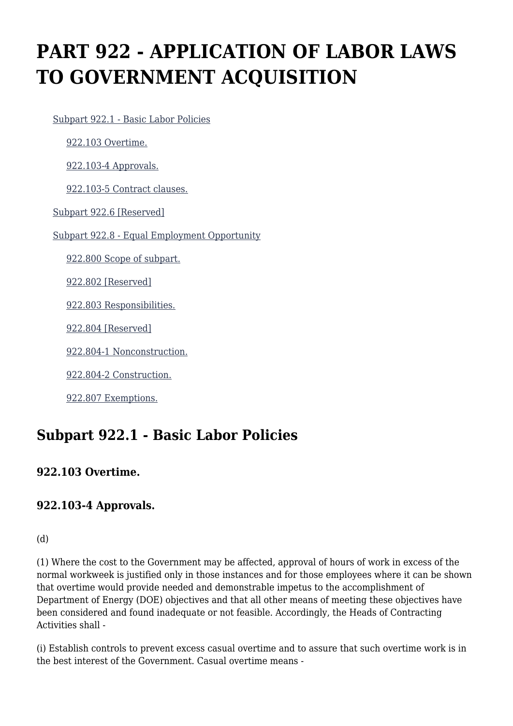# **PART 922 - APPLICATION OF LABOR LAWS TO GOVERNMENT ACQUISITION**

[Subpart 922.1 - Basic Labor Policies](https://www.acquisition.gov/%5Brp:link:dears-part-922%5D#Subpart_922_1_T48_50321191)

[922.103 Overtime.](https://www.acquisition.gov/%5Brp:link:dears-part-922%5D#Section_922_103_T48_5032119111)

[922.103-4 Approvals.](https://www.acquisition.gov/%5Brp:link:dears-part-922%5D#Section_922_103_4_T48_5032119112)

[922.103-5 Contract clauses.](https://www.acquisition.gov/%5Brp:link:dears-part-922%5D#Section_922_103_5_T48_5032119113)

[Subpart 922.6 \[Reserved\]](https://www.acquisition.gov/%5Brp:link:dears-part-922%5D#Subpart_922_6_T48_50321192)

[Subpart 922.8 - Equal Employment Opportunity](https://www.acquisition.gov/%5Brp:link:dears-part-922%5D#Subpart_922_8_T48_50321193)

[922.800 Scope of subpart.](https://www.acquisition.gov/%5Brp:link:dears-part-922%5D#Section_922_800_T48_5032119311)

[922.802 \[Reserved\]](https://www.acquisition.gov/%5Brp:link:dears-part-922%5D#Section_922_802_T48_5032119312)

[922.803 Responsibilities.](https://www.acquisition.gov/%5Brp:link:dears-part-922%5D#Section_922_803_T48_5032119313)

[922.804 \[Reserved\]](https://www.acquisition.gov/%5Brp:link:dears-part-922%5D#Section_922_804_T48_5032119314)

[922.804-1 Nonconstruction.](https://www.acquisition.gov/%5Brp:link:dears-part-922%5D#Section_922_804_1_T48_5032119315)

[922.804-2 Construction.](https://www.acquisition.gov/%5Brp:link:dears-part-922%5D#Section_922_804_2_T48_5032119316)

[922.807 Exemptions.](https://www.acquisition.gov/%5Brp:link:dears-part-922%5D#Section_922_807_T48_5032119317)

## **Subpart 922.1 - Basic Labor Policies**

#### **922.103 Overtime.**

#### **922.103-4 Approvals.**

#### (d)

(1) Where the cost to the Government may be affected, approval of hours of work in excess of the normal workweek is justified only in those instances and for those employees where it can be shown that overtime would provide needed and demonstrable impetus to the accomplishment of Department of Energy (DOE) objectives and that all other means of meeting these objectives have been considered and found inadequate or not feasible. Accordingly, the Heads of Contracting Activities shall -

(i) Establish controls to prevent excess casual overtime and to assure that such overtime work is in the best interest of the Government. Casual overtime means -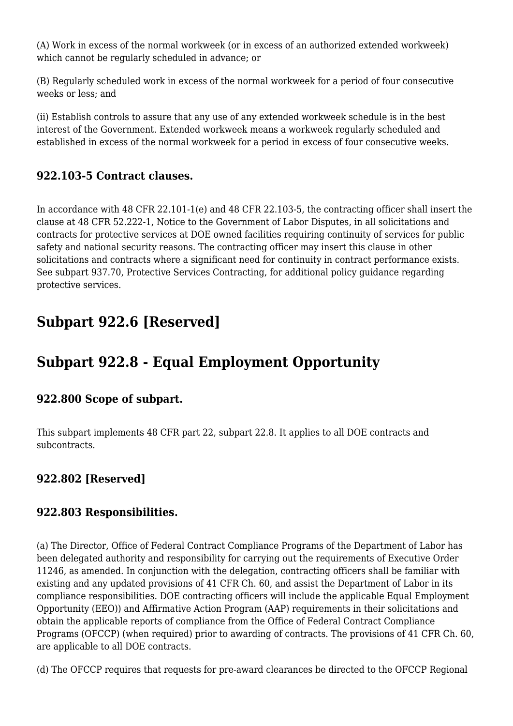(A) Work in excess of the normal workweek (or in excess of an authorized extended workweek) which cannot be regularly scheduled in advance; or

(B) Regularly scheduled work in excess of the normal workweek for a period of four consecutive weeks or less; and

(ii) Establish controls to assure that any use of any extended workweek schedule is in the best interest of the Government. Extended workweek means a workweek regularly scheduled and established in excess of the normal workweek for a period in excess of four consecutive weeks.

#### **922.103-5 Contract clauses.**

In accordance with 48 CFR 22.101-1(e) and 48 CFR 22.103-5, the contracting officer shall insert the clause at 48 CFR 52.222-1, Notice to the Government of Labor Disputes, in all solicitations and contracts for protective services at DOE owned facilities requiring continuity of services for public safety and national security reasons. The contracting officer may insert this clause in other solicitations and contracts where a significant need for continuity in contract performance exists. See subpart 937.70, Protective Services Contracting, for additional policy guidance regarding protective services.

## **Subpart 922.6 [Reserved]**

# **Subpart 922.8 - Equal Employment Opportunity**

#### **922.800 Scope of subpart.**

This subpart implements 48 CFR part 22, subpart 22.8. It applies to all DOE contracts and subcontracts.

## **922.802 [Reserved]**

#### **922.803 Responsibilities.**

(a) The Director, Office of Federal Contract Compliance Programs of the Department of Labor has been delegated authority and responsibility for carrying out the requirements of Executive Order 11246, as amended. In conjunction with the delegation, contracting officers shall be familiar with existing and any updated provisions of 41 CFR Ch. 60, and assist the Department of Labor in its compliance responsibilities. DOE contracting officers will include the applicable Equal Employment Opportunity (EEO)) and Affirmative Action Program (AAP) requirements in their solicitations and obtain the applicable reports of compliance from the Office of Federal Contract Compliance Programs (OFCCP) (when required) prior to awarding of contracts. The provisions of 41 CFR Ch. 60, are applicable to all DOE contracts.

(d) The OFCCP requires that requests for pre-award clearances be directed to the OFCCP Regional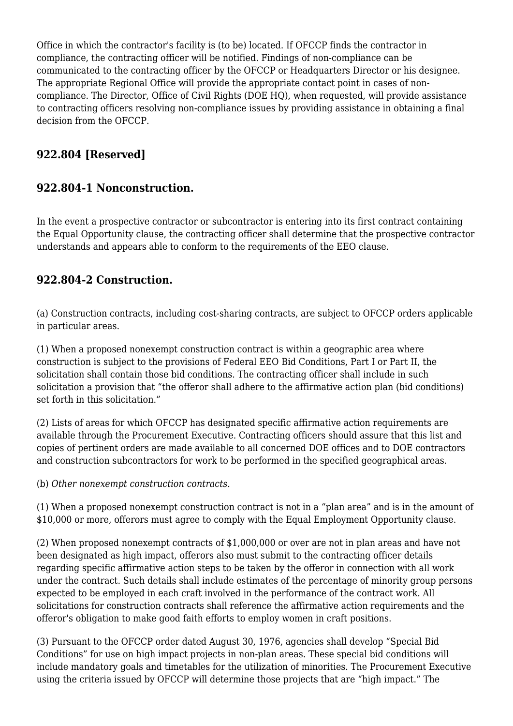Office in which the contractor's facility is (to be) located. If OFCCP finds the contractor in compliance, the contracting officer will be notified. Findings of non-compliance can be communicated to the contracting officer by the OFCCP or Headquarters Director or his designee. The appropriate Regional Office will provide the appropriate contact point in cases of noncompliance. The Director, Office of Civil Rights (DOE HQ), when requested, will provide assistance to contracting officers resolving non-compliance issues by providing assistance in obtaining a final decision from the OFCCP.

### **922.804 [Reserved]**

#### **922.804-1 Nonconstruction.**

In the event a prospective contractor or subcontractor is entering into its first contract containing the Equal Opportunity clause, the contracting officer shall determine that the prospective contractor understands and appears able to conform to the requirements of the EEO clause.

#### **922.804-2 Construction.**

(a) Construction contracts, including cost-sharing contracts, are subject to OFCCP orders applicable in particular areas.

(1) When a proposed nonexempt construction contract is within a geographic area where construction is subject to the provisions of Federal EEO Bid Conditions, Part I or Part II, the solicitation shall contain those bid conditions. The contracting officer shall include in such solicitation a provision that "the offeror shall adhere to the affirmative action plan (bid conditions) set forth in this solicitation."

(2) Lists of areas for which OFCCP has designated specific affirmative action requirements are available through the Procurement Executive. Contracting officers should assure that this list and copies of pertinent orders are made available to all concerned DOE offices and to DOE contractors and construction subcontractors for work to be performed in the specified geographical areas.

(b) *Other nonexempt construction contracts.*

(1) When a proposed nonexempt construction contract is not in a "plan area" and is in the amount of \$10,000 or more, offerors must agree to comply with the Equal Employment Opportunity clause.

(2) When proposed nonexempt contracts of \$1,000,000 or over are not in plan areas and have not been designated as high impact, offerors also must submit to the contracting officer details regarding specific affirmative action steps to be taken by the offeror in connection with all work under the contract. Such details shall include estimates of the percentage of minority group persons expected to be employed in each craft involved in the performance of the contract work. All solicitations for construction contracts shall reference the affirmative action requirements and the offeror's obligation to make good faith efforts to employ women in craft positions.

(3) Pursuant to the OFCCP order dated August 30, 1976, agencies shall develop "Special Bid Conditions" for use on high impact projects in non-plan areas. These special bid conditions will include mandatory goals and timetables for the utilization of minorities. The Procurement Executive using the criteria issued by OFCCP will determine those projects that are "high impact." The